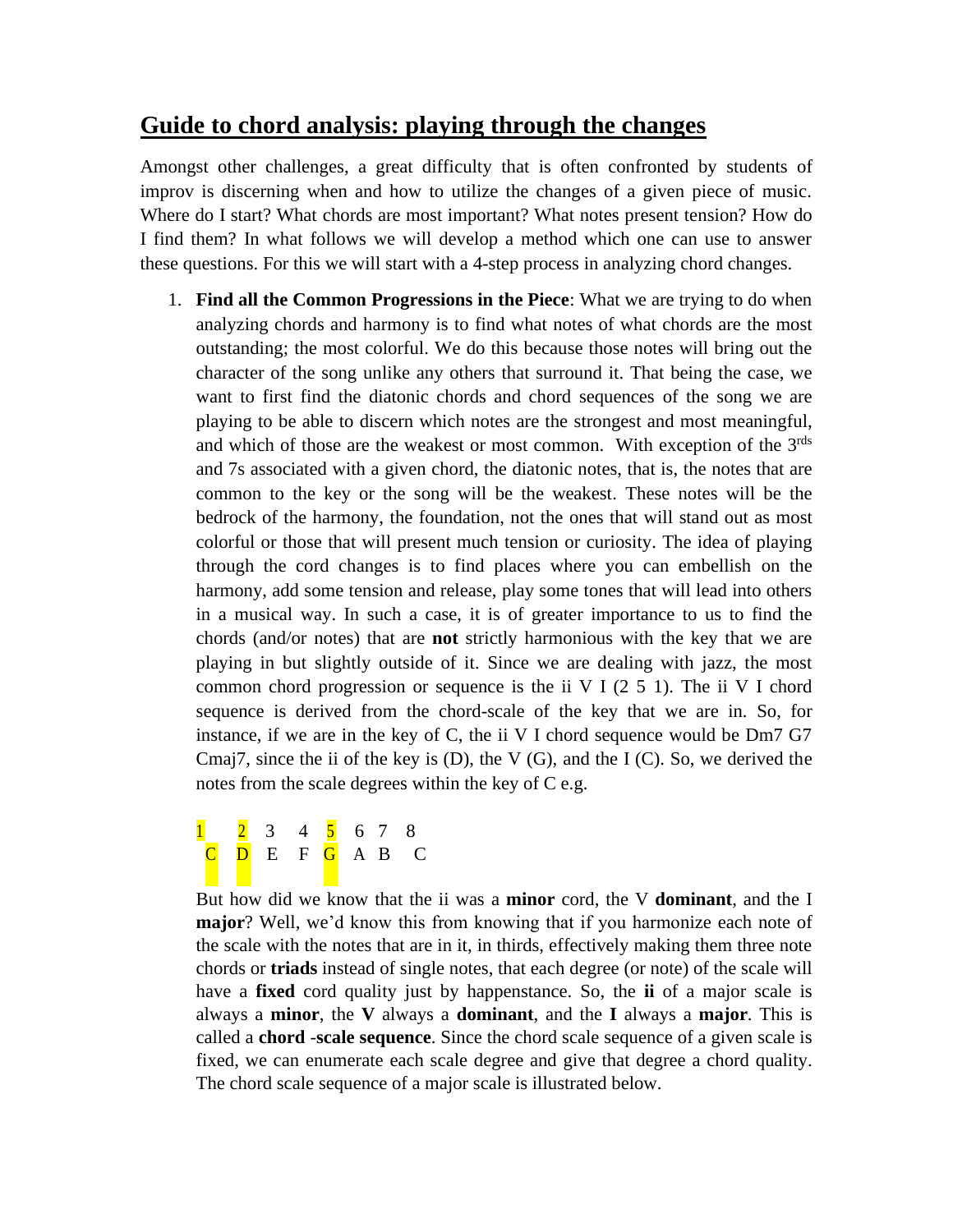## **Guide to chord analysis: playing through the changes**

Amongst other challenges, a great difficulty that is often confronted by students of improv is discerning when and how to utilize the changes of a given piece of music. Where do I start? What chords are most important? What notes present tension? How do I find them? In what follows we will develop a method which one can use to answer these questions. For this we will start with a 4-step process in analyzing chord changes.

1. **Find all the Common Progressions in the Piece**: What we are trying to do when analyzing chords and harmony is to find what notes of what chords are the most outstanding; the most colorful. We do this because those notes will bring out the character of the song unlike any others that surround it. That being the case, we want to first find the diatonic chords and chord sequences of the song we are playing to be able to discern which notes are the strongest and most meaningful, and which of those are the weakest or most common. With exception of the 3rds and 7s associated with a given chord, the diatonic notes, that is, the notes that are common to the key or the song will be the weakest. These notes will be the bedrock of the harmony, the foundation, not the ones that will stand out as most colorful or those that will present much tension or curiosity. The idea of playing through the cord changes is to find places where you can embellish on the harmony, add some tension and release, play some tones that will lead into others in a musical way. In such a case, it is of greater importance to us to find the chords (and/or notes) that are **not** strictly harmonious with the key that we are playing in but slightly outside of it. Since we are dealing with jazz, the most common chord progression or sequence is the ii V I  $(2 5 1)$ . The ii V I chord sequence is derived from the chord-scale of the key that we are in. So, for instance, if we are in the key of C, the ii V I chord sequence would be Dm7 G7 Cmaj7, since the ii of the key is  $(D)$ , the V  $(G)$ , and the I  $(C)$ . So, we derived the notes from the scale degrees within the key of C e.g.

<mark>1</mark> 2 3 4 <mark>5</mark> 6 7 8 <mark>C</mark> D E F <mark>G</mark> A B C

But how did we know that the ii was a **minor** cord, the V **dominant**, and the I **major**? Well, we'd know this from knowing that if you harmonize each note of the scale with the notes that are in it, in thirds, effectively making them three note chords or **triads** instead of single notes, that each degree (or note) of the scale will have a **fixed** cord quality just by happenstance. So, the **ii** of a major scale is always a **minor**, the **V** always a **dominant**, and the **I** always a **major**. This is called a **chord** -**scale sequence**. Since the chord scale sequence of a given scale is fixed, we can enumerate each scale degree and give that degree a chord quality. The chord scale sequence of a major scale is illustrated below.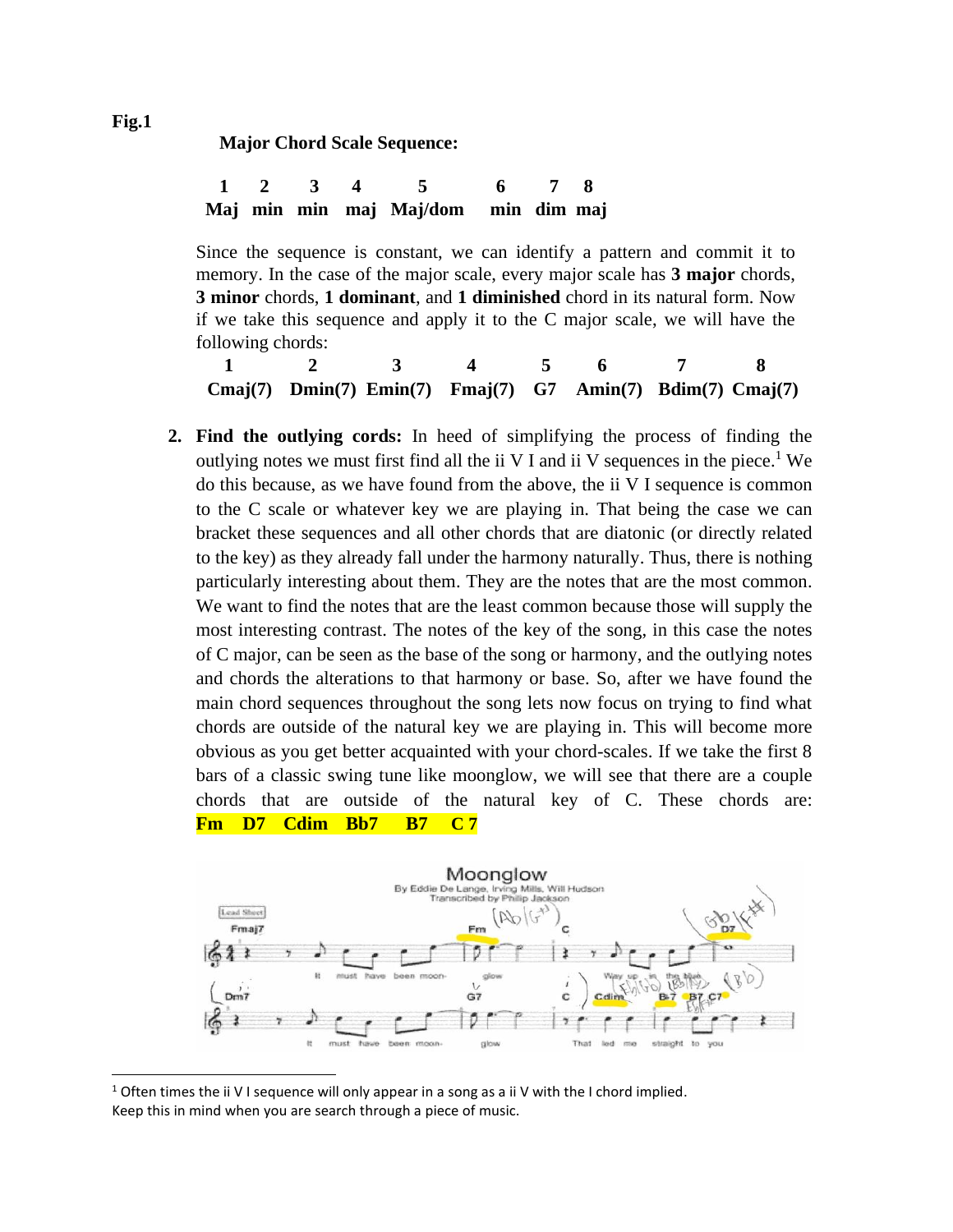**Major Chord Scale Sequence:** 

**1 2 3 4 5 6 7 8 Maj min min maj Maj/dom min dim maj**

Since the sequence is constant, we can identify a pattern and commit it to memory. In the case of the major scale, every major scale has **3 major** chords, **3 minor** chords, **1 dominant**, and **1 diminished** chord in its natural form. Now if we take this sequence and apply it to the C major scale, we will have the following chords:

**1 2 3 4 5 6 7 8 Cmaj(7) Dmin(7) Emin(7) Fmaj(7) G7 Amin(7) Bdim(7) Cmaj(7)**

**2. Find the outlying cords:** In heed of simplifying the process of finding the outlying notes we must first find all the ii V I and ii V sequences in the piece.<sup>1</sup> We do this because, as we have found from the above, the ii V I sequence is common to the C scale or whatever key we are playing in. That being the case we can bracket these sequences and all other chords that are diatonic (or directly related to the key) as they already fall under the harmony naturally. Thus, there is nothing particularly interesting about them. They are the notes that are the most common. We want to find the notes that are the least common because those will supply the most interesting contrast. The notes of the key of the song, in this case the notes of C major, can be seen as the base of the song or harmony, and the outlying notes and chords the alterations to that harmony or base. So, after we have found the main chord sequences throughout the song lets now focus on trying to find what chords are outside of the natural key we are playing in. This will become more obvious as you get better acquainted with your chord-scales. If we take the first 8 bars of a classic swing tune like moonglow, we will see that there are a couple chords that are outside of the natural key of C. These chords are: **Fm D7 Cdim Bb7 B7 C 7**



<sup>&</sup>lt;sup>1</sup> Often times the ii V I sequence will only appear in a song as a ii V with the I chord implied. Keep this in mind when you are search through a piece of music.

**Fig.1**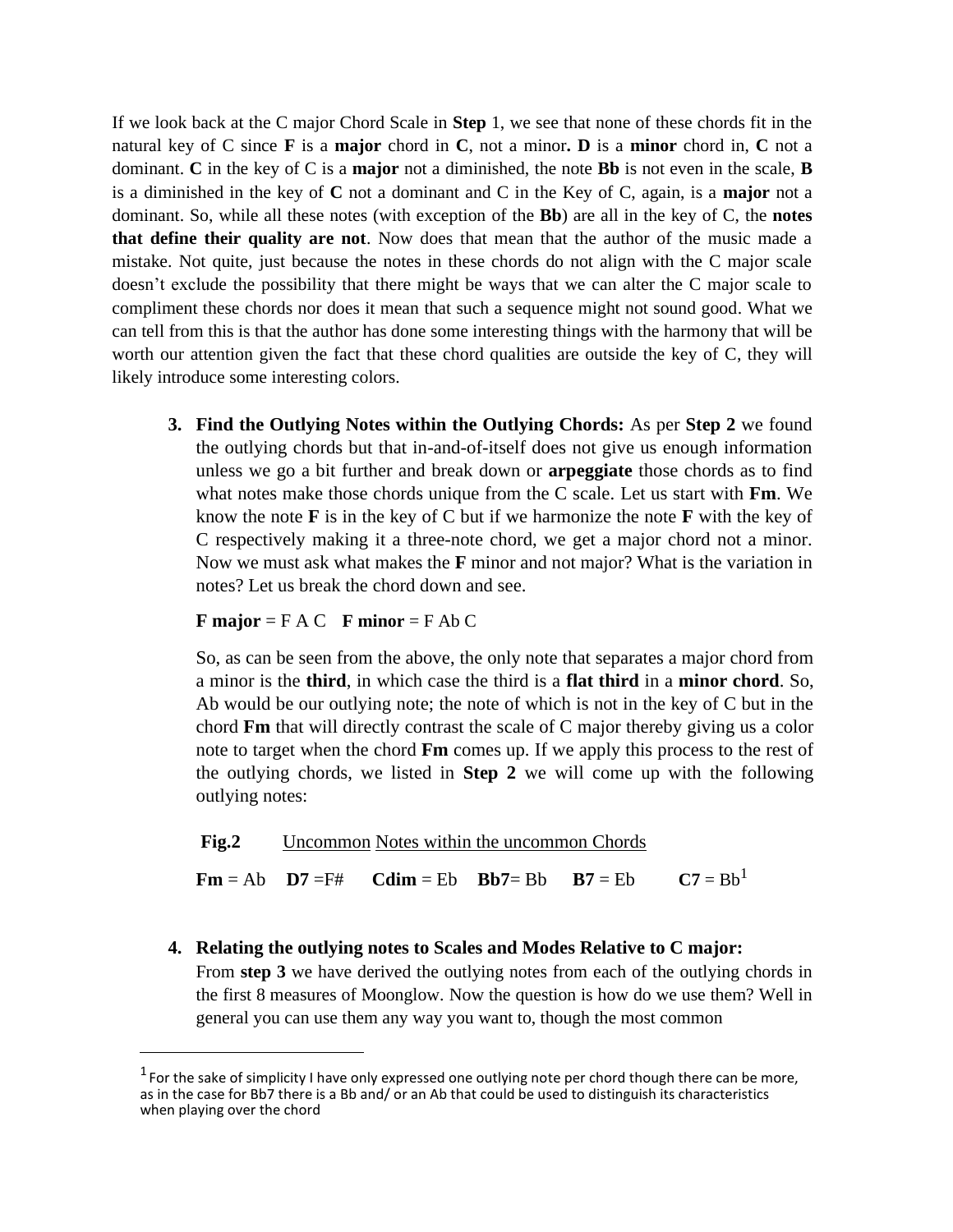If we look back at the C major Chord Scale in **Step** 1, we see that none of these chords fit in the natural key of C since **F** is a **major** chord in **C**, not a minor**. D** is a **minor** chord in, **C** not a dominant. **C** in the key of C is a **major** not a diminished, the note **Bb** is not even in the scale, **B** is a diminished in the key of **C** not a dominant and C in the Key of C, again, is a **major** not a dominant. So, while all these notes (with exception of the **Bb**) are all in the key of C, the **notes that define their quality are not**. Now does that mean that the author of the music made a mistake. Not quite, just because the notes in these chords do not align with the C major scale doesn't exclude the possibility that there might be ways that we can alter the C major scale to compliment these chords nor does it mean that such a sequence might not sound good. What we can tell from this is that the author has done some interesting things with the harmony that will be worth our attention given the fact that these chord qualities are outside the key of C, they will likely introduce some interesting colors.

**3. Find the Outlying Notes within the Outlying Chords:** As per **Step 2** we found the outlying chords but that in-and-of-itself does not give us enough information unless we go a bit further and break down or **arpeggiate** those chords as to find what notes make those chords unique from the C scale. Let us start with **Fm**. We know the note **F** is in the key of C but if we harmonize the note **F** with the key of C respectively making it a three-note chord, we get a major chord not a minor. Now we must ask what makes the **F** minor and not major? What is the variation in notes? Let us break the chord down and see.

## **F major** = F A C **F minor** = F Ab C

So, as can be seen from the above, the only note that separates a major chord from a minor is the **third**, in which case the third is a **flat third** in a **minor chord**. So, Ab would be our outlying note; the note of which is not in the key of C but in the chord **Fm** that will directly contrast the scale of C major thereby giving us a color note to target when the chord **Fm** comes up. If we apply this process to the rest of the outlying chords, we listed in **Step 2** we will come up with the following outlying notes:

**Fig.2** Uncommon Notes within the uncommon Chords

 $\mathbf{Fm} = \mathbf{Ab} \quad \mathbf{D7} = \mathbf{F\#} \quad \mathbf{Cdim} = \mathbf{Eb} \quad \mathbf{Bb7} = \mathbf{Bb} \quad \mathbf{B7} = \mathbf{Eb} \quad \mathbf{C7} = \mathbf{Bb}^1$ 

**4. Relating the outlying notes to Scales and Modes Relative to C major:** From **step 3** we have derived the outlying notes from each of the outlying chords in the first 8 measures of Moonglow. Now the question is how do we use them? Well in general you can use them any way you want to, though the most common

 $<sup>1</sup>$  For the sake of simplicity I have only expressed one outlying note per chord though there can be more,</sup> as in the case for Bb7 there is a Bb and/ or an Ab that could be used to distinguish its characteristics when playing over the chord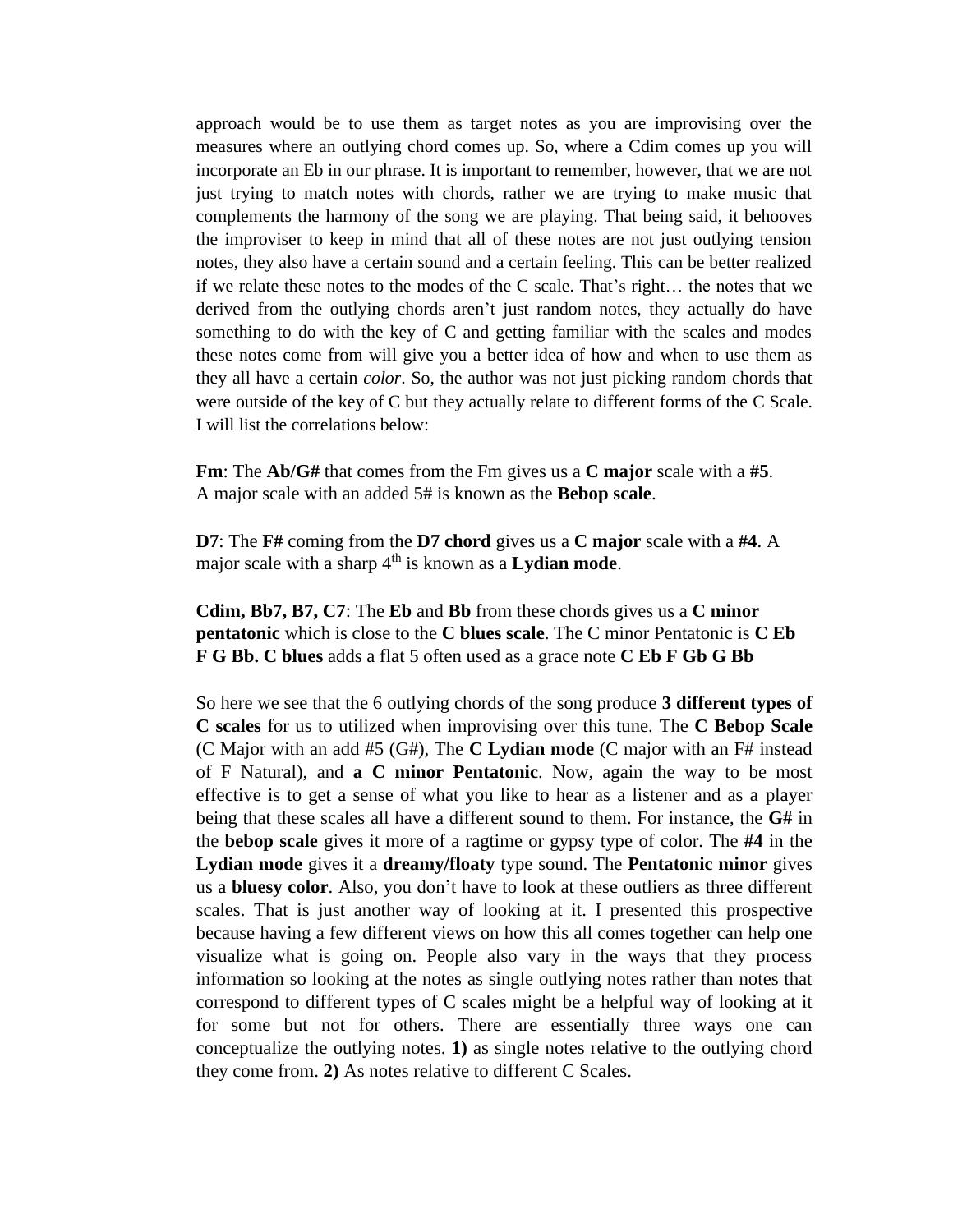approach would be to use them as target notes as you are improvising over the measures where an outlying chord comes up. So, where a Cdim comes up you will incorporate an Eb in our phrase. It is important to remember, however, that we are not just trying to match notes with chords, rather we are trying to make music that complements the harmony of the song we are playing. That being said, it behooves the improviser to keep in mind that all of these notes are not just outlying tension notes, they also have a certain sound and a certain feeling. This can be better realized if we relate these notes to the modes of the C scale. That's right… the notes that we derived from the outlying chords aren't just random notes, they actually do have something to do with the key of C and getting familiar with the scales and modes these notes come from will give you a better idea of how and when to use them as they all have a certain *color*. So, the author was not just picking random chords that were outside of the key of C but they actually relate to different forms of the C Scale. I will list the correlations below:

**Fm**: The **Ab/G#** that comes from the Fm gives us a **C major** scale with a **#5**. A major scale with an added 5# is known as the **Bebop scale**.

**D7**: The **F#** coming from the **D7 chord** gives us a **C major** scale with a **#4**. A major scale with a sharp  $4<sup>th</sup>$  is known as a **Lydian mode**.

**Cdim, Bb7, B7, C7**: The **Eb** and **Bb** from these chords gives us a **C minor pentatonic** which is close to the **C blues scale**. The C minor Pentatonic is **C Eb F G Bb. C blues** adds a flat 5 often used as a grace note **C Eb F Gb G Bb**

So here we see that the 6 outlying chords of the song produce **3 different types of C scales** for us to utilized when improvising over this tune. The **C Bebop Scale**  (C Major with an add #5 (G#), The **C Lydian mode** (C major with an F# instead of F Natural), and **a C minor Pentatonic**. Now, again the way to be most effective is to get a sense of what you like to hear as a listener and as a player being that these scales all have a different sound to them. For instance, the **G#** in the **bebop scale** gives it more of a ragtime or gypsy type of color. The **#4** in the **Lydian mode** gives it a **dreamy/floaty** type sound. The **Pentatonic minor** gives us a **bluesy color**. Also, you don't have to look at these outliers as three different scales. That is just another way of looking at it. I presented this prospective because having a few different views on how this all comes together can help one visualize what is going on. People also vary in the ways that they process information so looking at the notes as single outlying notes rather than notes that correspond to different types of C scales might be a helpful way of looking at it for some but not for others. There are essentially three ways one can conceptualize the outlying notes. **1)** as single notes relative to the outlying chord they come from. **2)** As notes relative to different C Scales.